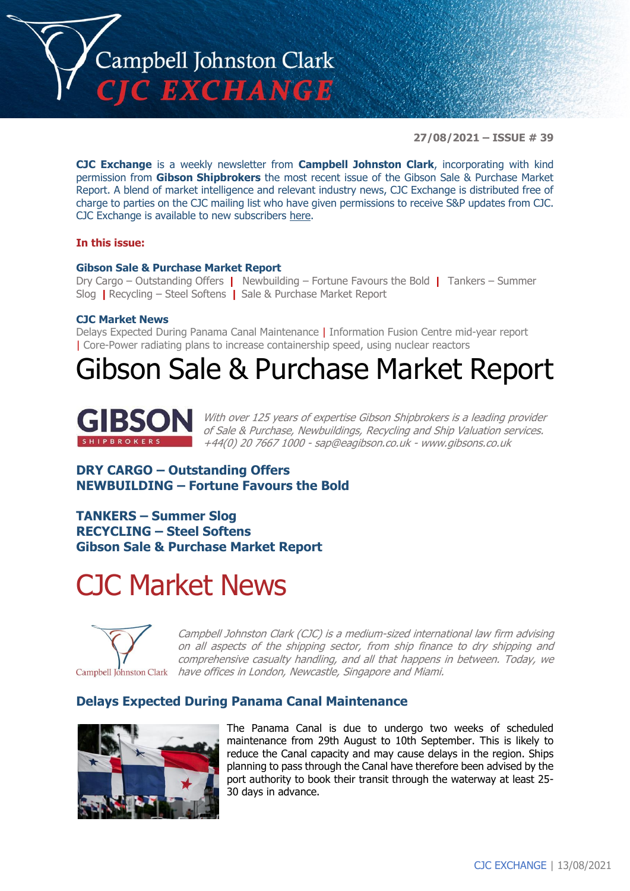

**27/08/2021 – ISSUE # 39**

**CJC Exchange** is a weekly newsletter from **Campbell Johnston Clark**, incorporating with kind permission from **Gibson Shipbrokers** the most recent issue of the Gibson Sale & Purchase Market Report. A blend of market intelligence and relevant industry news, CJC Exchange is distributed free of charge to parties on the CJC mailing list who have given permissions to receive S&P updates from CJC. CJC Exchange is available to new subscribers [here.](mailto:jamesc@cjclaw.com?subject=CJC%20Exchange%20sign-up)

#### **In this issue:**

#### **Gibson Sale & Purchase Market Report**

Dry Cargo – Outstanding Offers **|** Newbuilding – Fortune Favours the Bold **|** Tankers – Summer Slog **|** Recycling – Steel Softens **|** Sale & Purchase Market Report

#### **CJC Market News**

Delays Expected During Panama Canal Maintenance | Information Fusion Centre mid-year report | Core-Power radiating plans to increase containership speed, using nuclear reactors

## Gibson Sale & Purchase Market Report



With over 125 years of expertise Gibson Shipbrokers is a leading provider of Sale & Purchase, Newbuildings, Recycling and Ship Valuation services. +44(0) 20 7667 1000 - [sap@eagibson.co.uk](mailto:sap@eagibson.co.uk) - [www.gibsons.co.uk](https://protect-eu.mimecast.com/s/VO6nCGZzRS60KqcK1jQh/)

## **DRY CARGO – Outstanding Offers NEWBUILDING – Fortune Favours the Bold**

**TANKERS – Summer Slog RECYCLING – Steel Softens Gibson Sale & Purchase Market Report**

# CJC Market News



Campbell Johnston Clark (CJC) is a medium-sized international law firm advising on all aspects of the shipping sector, from ship finance to dry shipping and comprehensive casualty handling, and all that happens in between. Today, we have offices in London, Newcastle, Singapore and Miami.

### **Delays Expected During Panama Canal Maintenance**



The Panama Canal is due to undergo two weeks of scheduled maintenance from 29th August to 10th September. This is likely to reduce the Canal capacity and may cause delays in the region. Ships planning to pass through the Canal have therefore been advised by the port authority to book their transit through the waterway at least 25- 30 days in advance.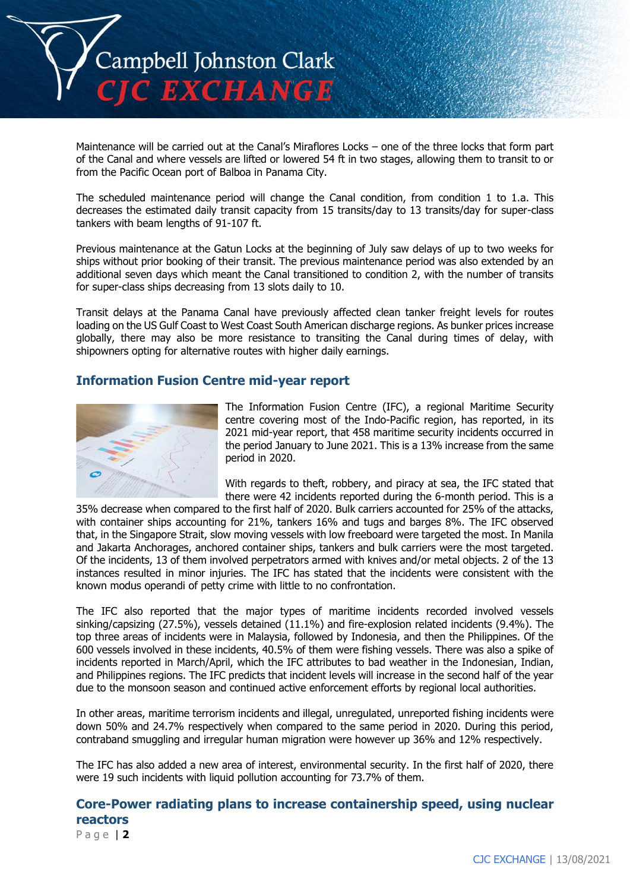

Maintenance will be carried out at the Canal's Miraflores Locks – one of the three locks that form part of the Canal and where vessels are lifted or lowered 54 ft in two stages, allowing them to transit to or from the Pacific Ocean port of Balboa in Panama City.

The scheduled maintenance period will change the Canal condition, from condition 1 to 1.a. This decreases the estimated daily transit capacity from 15 transits/day to 13 transits/day for super-class tankers with beam lengths of 91-107 ft.

Previous maintenance at the Gatun Locks at the beginning of July saw delays of up to two weeks for ships without prior booking of their transit. The previous maintenance period was also extended by an additional seven days which meant the Canal transitioned to condition 2, with the number of transits for super-class ships decreasing from 13 slots daily to 10.

Transit delays at the Panama Canal have previously affected clean tanker freight levels for routes loading on the US Gulf Coast to West Coast South American discharge regions. As bunker prices increase globally, there may also be more resistance to transiting the Canal during times of delay, with shipowners opting for alternative routes with higher daily earnings.

## **Information Fusion Centre mid-year report**



The Information Fusion Centre (IFC), a regional Maritime Security centre covering most of the Indo-Pacific region, has reported, in its 2021 mid-year report, that 458 maritime security incidents occurred in the period January to June 2021. This is a 13% increase from the same period in 2020.

With regards to theft, robbery, and piracy at sea, the IFC stated that there were 42 incidents reported during the 6-month period. This is a

35% decrease when compared to the first half of 2020. Bulk carriers accounted for 25% of the attacks, with container ships accounting for 21%, tankers 16% and tugs and barges 8%. The IFC observed that, in the Singapore Strait, slow moving vessels with low freeboard were targeted the most. In Manila and Jakarta Anchorages, anchored container ships, tankers and bulk carriers were the most targeted. Of the incidents, 13 of them involved perpetrators armed with knives and/or metal objects. 2 of the 13 instances resulted in minor injuries. The IFC has stated that the incidents were consistent with the known modus operandi of petty crime with little to no confrontation.

The IFC also reported that the major types of maritime incidents recorded involved vessels sinking/capsizing (27.5%), vessels detained (11.1%) and fire-explosion related incidents (9.4%). The top three areas of incidents were in Malaysia, followed by Indonesia, and then the Philippines. Of the 600 vessels involved in these incidents, 40.5% of them were fishing vessels. There was also a spike of incidents reported in March/April, which the IFC attributes to bad weather in the Indonesian, Indian, and Philippines regions. The IFC predicts that incident levels will increase in the second half of the year due to the monsoon season and continued active enforcement efforts by regional local authorities.

In other areas, maritime terrorism incidents and illegal, unregulated, unreported fishing incidents were down 50% and 24.7% respectively when compared to the same period in 2020. During this period, contraband smuggling and irregular human migration were however up 36% and 12% respectively.

The IFC has also added a new area of interest, environmental security. In the first half of 2020, there were 19 such incidents with liquid pollution accounting for 73.7% of them.

## **Core-Power radiating plans to increase containership speed, using nuclear reactors**

P a g e | **2**